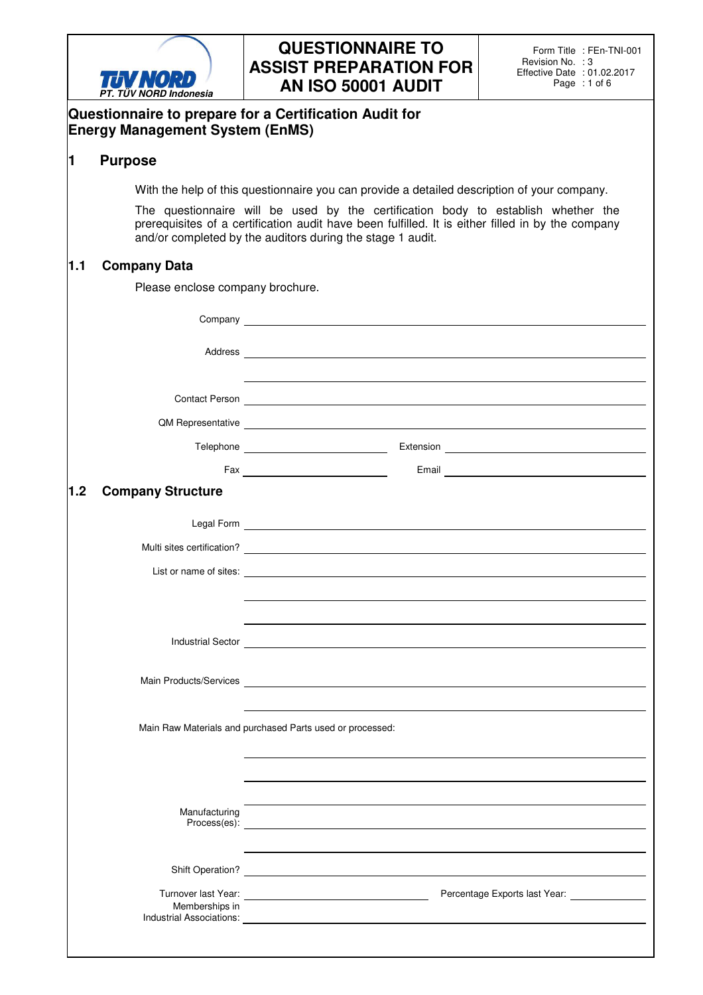

## **QUESTIONNAIRE TO ASSIST PREPARATION FOR AN ISO 50001 AUDIT**

|     | PT. TUV NORD Indonesia                 |                                                                                                                                                                                                                                                      |  |  |  |  |
|-----|----------------------------------------|------------------------------------------------------------------------------------------------------------------------------------------------------------------------------------------------------------------------------------------------------|--|--|--|--|
|     | <b>Energy Management System (EnMS)</b> | Questionnaire to prepare for a Certification Audit for                                                                                                                                                                                               |  |  |  |  |
| 1   | <b>Purpose</b>                         |                                                                                                                                                                                                                                                      |  |  |  |  |
|     |                                        | With the help of this questionnaire you can provide a detailed description of your company.                                                                                                                                                          |  |  |  |  |
|     |                                        | The questionnaire will be used by the certification body to establish whether the<br>prerequisites of a certification audit have been fulfilled. It is either filled in by the company<br>and/or completed by the auditors during the stage 1 audit. |  |  |  |  |
| 1.1 | <b>Company Data</b>                    |                                                                                                                                                                                                                                                      |  |  |  |  |
|     | Please enclose company brochure.       |                                                                                                                                                                                                                                                      |  |  |  |  |
|     |                                        |                                                                                                                                                                                                                                                      |  |  |  |  |
|     |                                        |                                                                                                                                                                                                                                                      |  |  |  |  |
|     |                                        | Contact Person <u>Contact Accounts</u>                                                                                                                                                                                                               |  |  |  |  |
|     |                                        | QM Representative <u>contact and a series of the series of the series of the series of the series of the series of the series of the series of the series of the series of the series of the series of the series of the series </u>                 |  |  |  |  |
|     |                                        |                                                                                                                                                                                                                                                      |  |  |  |  |
|     |                                        |                                                                                                                                                                                                                                                      |  |  |  |  |
| 1.2 | <b>Company Structure</b>               |                                                                                                                                                                                                                                                      |  |  |  |  |
|     |                                        |                                                                                                                                                                                                                                                      |  |  |  |  |
|     |                                        | Multi sites certification?                                                                                                                                                                                                                           |  |  |  |  |
|     |                                        |                                                                                                                                                                                                                                                      |  |  |  |  |
|     |                                        |                                                                                                                                                                                                                                                      |  |  |  |  |
|     |                                        |                                                                                                                                                                                                                                                      |  |  |  |  |
|     |                                        | Industrial Sector <u>Communication</u>                                                                                                                                                                                                               |  |  |  |  |
|     |                                        |                                                                                                                                                                                                                                                      |  |  |  |  |
|     |                                        | Main Raw Materials and purchased Parts used or processed:                                                                                                                                                                                            |  |  |  |  |
|     |                                        |                                                                                                                                                                                                                                                      |  |  |  |  |
|     |                                        |                                                                                                                                                                                                                                                      |  |  |  |  |
|     | Manufacturing                          |                                                                                                                                                                                                                                                      |  |  |  |  |
|     |                                        |                                                                                                                                                                                                                                                      |  |  |  |  |
|     | Memberships in                         |                                                                                                                                                                                                                                                      |  |  |  |  |
|     |                                        |                                                                                                                                                                                                                                                      |  |  |  |  |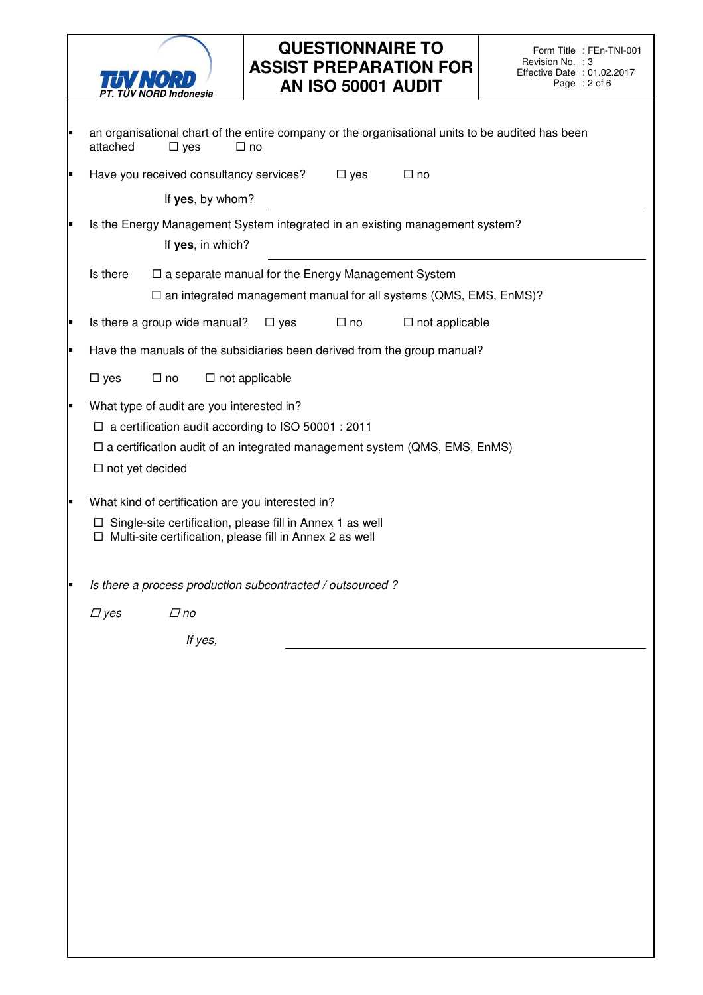

## **QUESTIONNAIRE TO ASSIST PREPARATION FOR AN ISO 50001 AUDIT**

| ٠ | an organisational chart of the entire company or the organisational units to be audited has been<br>attached<br>$\square$ yes<br>$\square$ no                                                                         |  |  |  |  |
|---|-----------------------------------------------------------------------------------------------------------------------------------------------------------------------------------------------------------------------|--|--|--|--|
| Ξ | Have you received consultancy services?<br>$\square$ yes<br>$\Box$ no                                                                                                                                                 |  |  |  |  |
|   | If yes, by whom?                                                                                                                                                                                                      |  |  |  |  |
| Ξ | Is the Energy Management System integrated in an existing management system?<br>If yes, in which?                                                                                                                     |  |  |  |  |
|   | Is there<br>$\Box$ a separate manual for the Energy Management System<br>$\square$ an integrated management manual for all systems (QMS, EMS, EnMS)?                                                                  |  |  |  |  |
| Ξ | Is there a group wide manual?<br>$\Box$ not applicable<br>$\Box$ no<br>$\Box$ yes                                                                                                                                     |  |  |  |  |
| п | Have the manuals of the subsidiaries been derived from the group manual?                                                                                                                                              |  |  |  |  |
|   | $\Box$ no<br>$\Box$ not applicable<br>$\square$ yes                                                                                                                                                                   |  |  |  |  |
| ٠ | What type of audit are you interested in?<br>$\Box$ a certification audit according to ISO 50001 : 2011<br>$\Box$ a certification audit of an integrated management system (QMS, EMS, EnMS)<br>$\Box$ not yet decided |  |  |  |  |
| п | What kind of certification are you interested in?<br>$\Box$ Single-site certification, please fill in Annex 1 as well<br>$\Box$ Multi-site certification, please fill in Annex 2 as well                              |  |  |  |  |
| Ξ | Is there a process production subcontracted / outsourced ?                                                                                                                                                            |  |  |  |  |
|   | $\Box$ yes<br>$\Box$ no                                                                                                                                                                                               |  |  |  |  |
|   | If yes,                                                                                                                                                                                                               |  |  |  |  |
|   |                                                                                                                                                                                                                       |  |  |  |  |
|   |                                                                                                                                                                                                                       |  |  |  |  |
|   |                                                                                                                                                                                                                       |  |  |  |  |
|   |                                                                                                                                                                                                                       |  |  |  |  |
|   |                                                                                                                                                                                                                       |  |  |  |  |
|   |                                                                                                                                                                                                                       |  |  |  |  |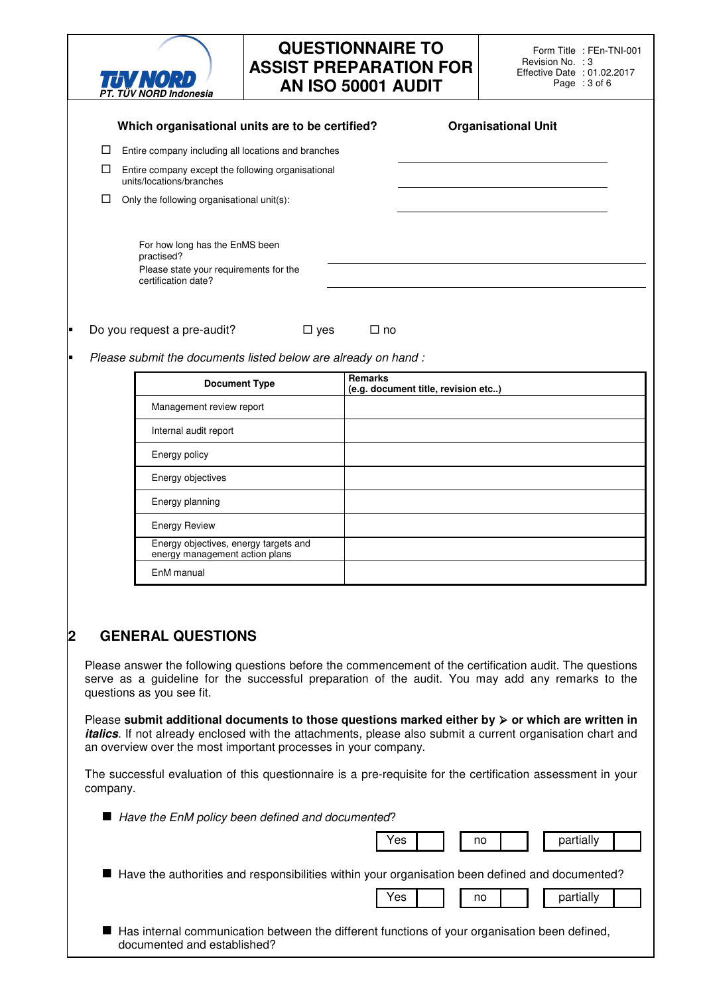|                  |                                                                                                                                                                                                                                                                                                         | <b>TUV NORD</b><br>PT. TÜV NORD Indonesia                                                                     |            | <b>QUESTIONNAIRE TO</b><br><b>ASSIST PREPARATION FOR</b><br>AN ISO 50001 AUDIT | Form Title : FEn-TNI-001<br>Revision No. : 3<br>Effective Date : 01.02.2017<br>Page : 3 of 6    |  |
|------------------|---------------------------------------------------------------------------------------------------------------------------------------------------------------------------------------------------------------------------------------------------------------------------------------------------------|---------------------------------------------------------------------------------------------------------------|------------|--------------------------------------------------------------------------------|-------------------------------------------------------------------------------------------------|--|
|                  | <b>Organisational Unit</b><br>Which organisational units are to be certified?                                                                                                                                                                                                                           |                                                                                                               |            |                                                                                |                                                                                                 |  |
|                  | ⊔                                                                                                                                                                                                                                                                                                       | Entire company including all locations and branches                                                           |            |                                                                                |                                                                                                 |  |
|                  | ⊔<br>Entire company except the following organisational<br>units/locations/branches                                                                                                                                                                                                                     |                                                                                                               |            |                                                                                |                                                                                                 |  |
|                  | Only the following organisational unit(s):                                                                                                                                                                                                                                                              |                                                                                                               |            |                                                                                |                                                                                                 |  |
|                  |                                                                                                                                                                                                                                                                                                         | For how long has the EnMS been<br>practised?<br>Please state your requirements for the<br>certification date? |            |                                                                                |                                                                                                 |  |
|                  |                                                                                                                                                                                                                                                                                                         |                                                                                                               |            |                                                                                |                                                                                                 |  |
|                  |                                                                                                                                                                                                                                                                                                         | Do you request a pre-audit?                                                                                   | $\Box$ yes | $\Box$ no                                                                      |                                                                                                 |  |
|                  |                                                                                                                                                                                                                                                                                                         | Please submit the documents listed below are already on hand:                                                 |            |                                                                                |                                                                                                 |  |
|                  |                                                                                                                                                                                                                                                                                                         | <b>Document Type</b>                                                                                          |            | Remarks<br>(e.g. document title, revision etc)                                 |                                                                                                 |  |
|                  |                                                                                                                                                                                                                                                                                                         | Management review report                                                                                      |            |                                                                                |                                                                                                 |  |
|                  |                                                                                                                                                                                                                                                                                                         | Internal audit report                                                                                         |            |                                                                                |                                                                                                 |  |
|                  |                                                                                                                                                                                                                                                                                                         | Energy policy                                                                                                 |            |                                                                                |                                                                                                 |  |
|                  |                                                                                                                                                                                                                                                                                                         | Energy objectives                                                                                             |            |                                                                                |                                                                                                 |  |
|                  |                                                                                                                                                                                                                                                                                                         | Energy planning                                                                                               |            |                                                                                |                                                                                                 |  |
|                  |                                                                                                                                                                                                                                                                                                         | <b>Energy Review</b>                                                                                          |            |                                                                                |                                                                                                 |  |
|                  | Energy objectives, energy targets and<br>energy management action plans                                                                                                                                                                                                                                 |                                                                                                               |            |                                                                                |                                                                                                 |  |
|                  |                                                                                                                                                                                                                                                                                                         | EnM manual                                                                                                    |            |                                                                                |                                                                                                 |  |
| $\boldsymbol{2}$ | <b>GENERAL QUESTIONS</b><br>Please answer the following questions before the commencement of the certification audit. The questions<br>serve as a guideline for the successful preparation of the audit. You may add any remarks to the<br>questions as you see fit.                                    |                                                                                                               |            |                                                                                |                                                                                                 |  |
|                  | Please submit additional documents to those questions marked either by $\triangleright$ or which are written in<br><i>italics</i> . If not already enclosed with the attachments, please also submit a current organisation chart and<br>an overview over the most important processes in your company. |                                                                                                               |            |                                                                                |                                                                                                 |  |
|                  | The successful evaluation of this questionnaire is a pre-requisite for the certification assessment in your<br>company.                                                                                                                                                                                 |                                                                                                               |            |                                                                                |                                                                                                 |  |
|                  | ■ Have the EnM policy been defined and documented?                                                                                                                                                                                                                                                      |                                                                                                               |            |                                                                                |                                                                                                 |  |
|                  |                                                                                                                                                                                                                                                                                                         |                                                                                                               |            | Yes                                                                            | partially<br>no                                                                                 |  |
|                  |                                                                                                                                                                                                                                                                                                         |                                                                                                               |            |                                                                                | Have the authorities and responsibilities within your organisation been defined and documented? |  |
|                  |                                                                                                                                                                                                                                                                                                         |                                                                                                               |            | Yes                                                                            | partially<br>no                                                                                 |  |

Has internal communication between the different functions of your organisation been defined, documented and established?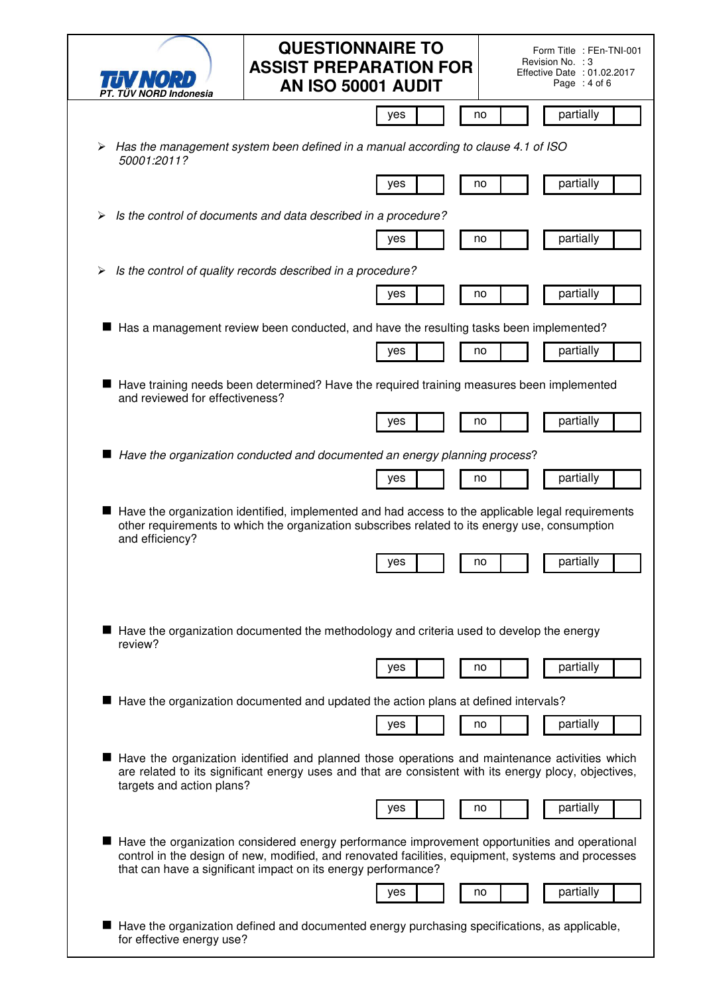| TIV NORD<br>PT. TUV NORD Indonesia | <b>QUESTIONNAIRE TO</b><br>Form Title: FEn-TNI-001<br>Revision No. : 3<br><b>ASSIST PREPARATION FOR</b><br>Effective Date : 01.02.2017<br>Page : 4 of 6<br>AN ISO 50001 AUDIT                                                                                        |  |
|------------------------------------|----------------------------------------------------------------------------------------------------------------------------------------------------------------------------------------------------------------------------------------------------------------------|--|
|                                    | partially<br>no<br>yes                                                                                                                                                                                                                                               |  |
| ➤<br>50001:2011?                   | Has the management system been defined in a manual according to clause 4.1 of ISO                                                                                                                                                                                    |  |
|                                    | partially<br>yes<br>no                                                                                                                                                                                                                                               |  |
| ➤                                  | Is the control of documents and data described in a procedure?                                                                                                                                                                                                       |  |
|                                    | partially<br>yes<br>no                                                                                                                                                                                                                                               |  |
| ➤                                  | Is the control of quality records described in a procedure?                                                                                                                                                                                                          |  |
|                                    | partially<br>yes<br>no                                                                                                                                                                                                                                               |  |
|                                    | Has a management review been conducted, and have the resulting tasks been implemented?                                                                                                                                                                               |  |
|                                    | partially<br>yes<br>no                                                                                                                                                                                                                                               |  |
| and reviewed for effectiveness?    | Have training needs been determined? Have the required training measures been implemented                                                                                                                                                                            |  |
|                                    | partially<br>no<br>yes                                                                                                                                                                                                                                               |  |
|                                    | Have the organization conducted and documented an energy planning process?                                                                                                                                                                                           |  |
|                                    | partially<br>yes<br>no                                                                                                                                                                                                                                               |  |
| and efficiency?                    | Have the organization identified, implemented and had access to the applicable legal requirements<br>other requirements to which the organization subscribes related to its energy use, consumption                                                                  |  |
|                                    | yes<br>no<br>partially                                                                                                                                                                                                                                               |  |
| review?                            | Have the organization documented the methodology and criteria used to develop the energy<br>partially<br>no<br>yes                                                                                                                                                   |  |
|                                    | Have the organization documented and updated the action plans at defined intervals?                                                                                                                                                                                  |  |
|                                    | partially<br>yes<br>no                                                                                                                                                                                                                                               |  |
| targets and action plans?          | Have the organization identified and planned those operations and maintenance activities which<br>are related to its significant energy uses and that are consistent with its energy plocy, objectives,                                                              |  |
|                                    | partially<br>yes<br>no                                                                                                                                                                                                                                               |  |
|                                    | Have the organization considered energy performance improvement opportunities and operational<br>control in the design of new, modified, and renovated facilities, equipment, systems and processes<br>that can have a significant impact on its energy performance? |  |
|                                    | partially<br>yes<br>no                                                                                                                                                                                                                                               |  |
| for effective energy use?          | Have the organization defined and documented energy purchasing specifications, as applicable,                                                                                                                                                                        |  |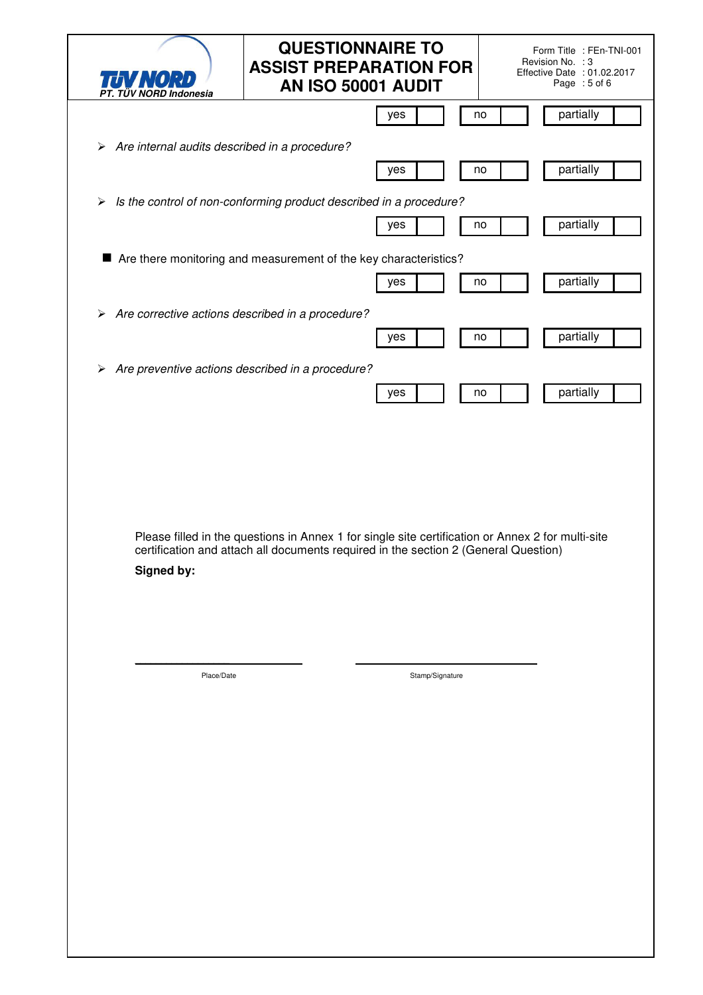| TUV NORD<br>PT. TÜV NORD Indonesia                    | <b>QUESTIONNAIRE TO</b><br>Form Title : FEn-TNI-001<br>Revision No. : 3<br><b>ASSIST PREPARATION FOR</b><br>Effective Date : 01.02.2017<br>AN ISO 50001 AUDIT<br>Page : 5 of 6           |  |
|-------------------------------------------------------|------------------------------------------------------------------------------------------------------------------------------------------------------------------------------------------|--|
|                                                       | partially<br>no<br>yes                                                                                                                                                                   |  |
| Are internal audits described in a procedure?<br>➤    |                                                                                                                                                                                          |  |
|                                                       | partially<br>yes<br>no                                                                                                                                                                   |  |
| $\blacktriangleright$                                 | Is the control of non-conforming product described in a procedure?                                                                                                                       |  |
|                                                       | partially<br>no<br>yes                                                                                                                                                                   |  |
|                                                       | Are there monitoring and measurement of the key characteristics?                                                                                                                         |  |
|                                                       | partially<br>yes<br>no                                                                                                                                                                   |  |
| Are corrective actions described in a procedure?<br>➤ |                                                                                                                                                                                          |  |
|                                                       | partially<br>yes<br>no                                                                                                                                                                   |  |
| Are preventive actions described in a procedure?<br>➤ |                                                                                                                                                                                          |  |
|                                                       | partially<br>yes<br>no                                                                                                                                                                   |  |
| Signed by:                                            | Please filled in the questions in Annex 1 for single site certification or Annex 2 for multi-site<br>certification and attach all documents required in the section 2 (General Question) |  |
|                                                       |                                                                                                                                                                                          |  |
| Place/Date                                            | Stamp/Signature                                                                                                                                                                          |  |
|                                                       |                                                                                                                                                                                          |  |
|                                                       |                                                                                                                                                                                          |  |
|                                                       |                                                                                                                                                                                          |  |
|                                                       |                                                                                                                                                                                          |  |
|                                                       |                                                                                                                                                                                          |  |
|                                                       |                                                                                                                                                                                          |  |
|                                                       |                                                                                                                                                                                          |  |
|                                                       |                                                                                                                                                                                          |  |